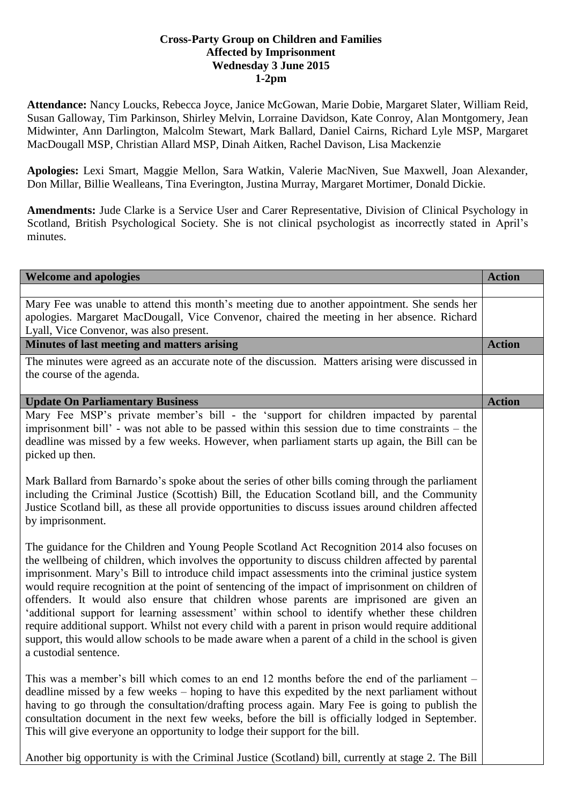## **Cross-Party Group on Children and Families Affected by Imprisonment Wednesday 3 June 2015 1-2pm**

**Attendance:** Nancy Loucks, Rebecca Joyce, Janice McGowan, Marie Dobie, Margaret Slater, William Reid, Susan Galloway, Tim Parkinson, Shirley Melvin, Lorraine Davidson, Kate Conroy, Alan Montgomery, Jean Midwinter, Ann Darlington, Malcolm Stewart, Mark Ballard, Daniel Cairns, Richard Lyle MSP, Margaret MacDougall MSP, Christian Allard MSP, Dinah Aitken, Rachel Davison, Lisa Mackenzie

**Apologies:** Lexi Smart, Maggie Mellon, Sara Watkin, Valerie MacNiven, Sue Maxwell, Joan Alexander, Don Millar, Billie Wealleans, Tina Everington, Justina Murray, Margaret Mortimer, Donald Dickie.

**Amendments:** Jude Clarke is a Service User and Carer Representative, Division of Clinical Psychology in Scotland, British Psychological Society. She is not clinical psychologist as incorrectly stated in April's minutes.

| <b>Welcome and apologies</b>                                                                                                                                                                                                                                                                                                                                                                                                                                                                                                                                                                                                                                                                                                                                                                                                                  | <b>Action</b> |
|-----------------------------------------------------------------------------------------------------------------------------------------------------------------------------------------------------------------------------------------------------------------------------------------------------------------------------------------------------------------------------------------------------------------------------------------------------------------------------------------------------------------------------------------------------------------------------------------------------------------------------------------------------------------------------------------------------------------------------------------------------------------------------------------------------------------------------------------------|---------------|
| Mary Fee was unable to attend this month's meeting due to another appointment. She sends her                                                                                                                                                                                                                                                                                                                                                                                                                                                                                                                                                                                                                                                                                                                                                  |               |
| apologies. Margaret MacDougall, Vice Convenor, chaired the meeting in her absence. Richard<br>Lyall, Vice Convenor, was also present.                                                                                                                                                                                                                                                                                                                                                                                                                                                                                                                                                                                                                                                                                                         |               |
| Minutes of last meeting and matters arising                                                                                                                                                                                                                                                                                                                                                                                                                                                                                                                                                                                                                                                                                                                                                                                                   | <b>Action</b> |
| The minutes were agreed as an accurate note of the discussion. Matters arising were discussed in<br>the course of the agenda.                                                                                                                                                                                                                                                                                                                                                                                                                                                                                                                                                                                                                                                                                                                 |               |
| <b>Update On Parliamentary Business</b>                                                                                                                                                                                                                                                                                                                                                                                                                                                                                                                                                                                                                                                                                                                                                                                                       | <b>Action</b> |
| Mary Fee MSP's private member's bill - the 'support for children impacted by parental<br>imprisonment bill' - was not able to be passed within this session due to time constraints – the<br>deadline was missed by a few weeks. However, when parliament starts up again, the Bill can be<br>picked up then.                                                                                                                                                                                                                                                                                                                                                                                                                                                                                                                                 |               |
| Mark Ballard from Barnardo's spoke about the series of other bills coming through the parliament<br>including the Criminal Justice (Scottish) Bill, the Education Scotland bill, and the Community<br>Justice Scotland bill, as these all provide opportunities to discuss issues around children affected<br>by imprisonment.                                                                                                                                                                                                                                                                                                                                                                                                                                                                                                                |               |
| The guidance for the Children and Young People Scotland Act Recognition 2014 also focuses on<br>the wellbeing of children, which involves the opportunity to discuss children affected by parental<br>imprisonment. Mary's Bill to introduce child impact assessments into the criminal justice system<br>would require recognition at the point of sentencing of the impact of imprisonment on children of<br>offenders. It would also ensure that children whose parents are imprisoned are given an<br>'additional support for learning assessment' within school to identify whether these children<br>require additional support. Whilst not every child with a parent in prison would require additional<br>support, this would allow schools to be made aware when a parent of a child in the school is given<br>a custodial sentence. |               |
| This was a member's bill which comes to an end 12 months before the end of the parliament –<br>deadline missed by a few weeks – hoping to have this expedited by the next parliament without<br>having to go through the consultation/drafting process again. Mary Fee is going to publish the<br>consultation document in the next few weeks, before the bill is officially lodged in September.<br>This will give everyone an opportunity to lodge their support for the bill.                                                                                                                                                                                                                                                                                                                                                              |               |
| Another big opportunity is with the Criminal Justice (Scotland) bill, currently at stage 2. The Bill                                                                                                                                                                                                                                                                                                                                                                                                                                                                                                                                                                                                                                                                                                                                          |               |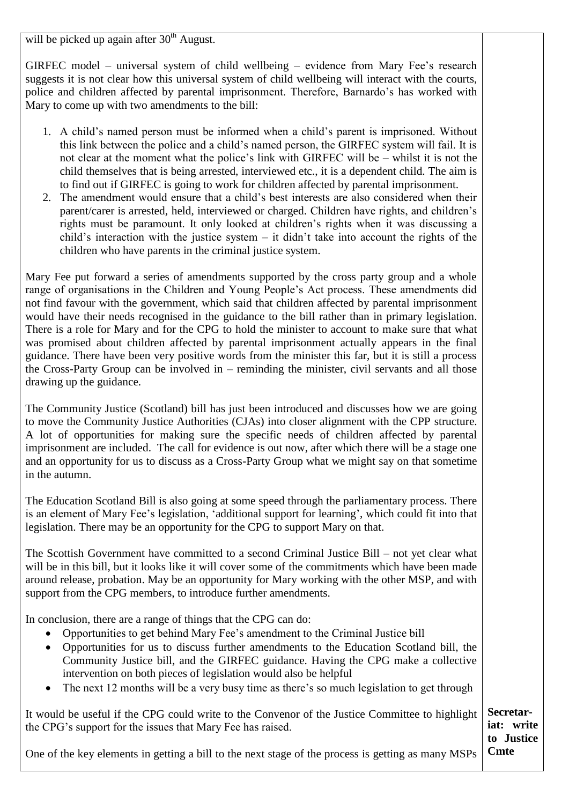will be picked up again after  $30<sup>th</sup>$  August.

GIRFEC model – universal system of child wellbeing – evidence from Mary Fee's research suggests it is not clear how this universal system of child wellbeing will interact with the courts, police and children affected by parental imprisonment. Therefore, Barnardo's has worked with Mary to come up with two amendments to the bill:

- 1. A child's named person must be informed when a child's parent is imprisoned. Without this link between the police and a child's named person, the GIRFEC system will fail. It is not clear at the moment what the police's link with GIRFEC will be – whilst it is not the child themselves that is being arrested, interviewed etc., it is a dependent child. The aim is to find out if GIRFEC is going to work for children affected by parental imprisonment.
- 2. The amendment would ensure that a child's best interests are also considered when their parent/carer is arrested, held, interviewed or charged. Children have rights, and children's rights must be paramount. It only looked at children's rights when it was discussing a child's interaction with the justice system – it didn't take into account the rights of the children who have parents in the criminal justice system.

Mary Fee put forward a series of amendments supported by the cross party group and a whole range of organisations in the Children and Young People's Act process. These amendments did not find favour with the government, which said that children affected by parental imprisonment would have their needs recognised in the guidance to the bill rather than in primary legislation. There is a role for Mary and for the CPG to hold the minister to account to make sure that what was promised about children affected by parental imprisonment actually appears in the final guidance. There have been very positive words from the minister this far, but it is still a process the Cross-Party Group can be involved in – reminding the minister, civil servants and all those drawing up the guidance.

The Community Justice (Scotland) bill has just been introduced and discusses how we are going to move the Community Justice Authorities (CJAs) into closer alignment with the CPP structure. A lot of opportunities for making sure the specific needs of children affected by parental imprisonment are included. The call for evidence is out now, after which there will be a stage one and an opportunity for us to discuss as a Cross-Party Group what we might say on that sometime in the autumn.

The Education Scotland Bill is also going at some speed through the parliamentary process. There is an element of Mary Fee's legislation, 'additional support for learning', which could fit into that legislation. There may be an opportunity for the CPG to support Mary on that.

The Scottish Government have committed to a second Criminal Justice Bill – not yet clear what will be in this bill, but it looks like it will cover some of the commitments which have been made around release, probation. May be an opportunity for Mary working with the other MSP, and with support from the CPG members, to introduce further amendments.

In conclusion, there are a range of things that the CPG can do:

- Opportunities to get behind Mary Fee's amendment to the Criminal Justice bill
- Opportunities for us to discuss further amendments to the Education Scotland bill, the Community Justice bill, and the GIRFEC guidance. Having the CPG make a collective intervention on both pieces of legislation would also be helpful
- The next 12 months will be a very busy time as there's so much legislation to get through

It would be useful if the CPG could write to the Convenor of the Justice Committee to highlight the CPG's support for the issues that Mary Fee has raised.

One of the key elements in getting a bill to the next stage of the process is getting as many MSPs

**Secretariat: write to Justice Cmte**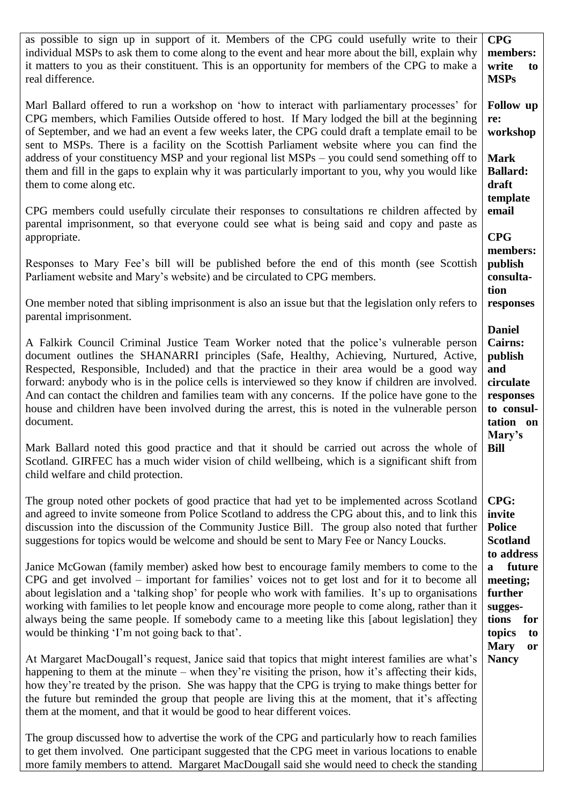| as possible to sign up in support of it. Members of the CPG could usefully write to their<br>individual MSPs to ask them to come along to the event and hear more about the bill, explain why<br>it matters to you as their constituent. This is an opportunity for members of the CPG to make a<br>real difference.                                                                                                                                                                                                                                                                                     | <b>CPG</b><br>members:<br>write<br>to<br><b>MSPs</b>                                                             |
|----------------------------------------------------------------------------------------------------------------------------------------------------------------------------------------------------------------------------------------------------------------------------------------------------------------------------------------------------------------------------------------------------------------------------------------------------------------------------------------------------------------------------------------------------------------------------------------------------------|------------------------------------------------------------------------------------------------------------------|
| Marl Ballard offered to run a workshop on 'how to interact with parliamentary processes' for<br>CPG members, which Families Outside offered to host. If Mary lodged the bill at the beginning<br>of September, and we had an event a few weeks later, the CPG could draft a template email to be<br>sent to MSPs. There is a facility on the Scottish Parliament website where you can find the                                                                                                                                                                                                          | <b>Follow</b> up<br>re:<br>workshop                                                                              |
| address of your constituency MSP and your regional list MSPs – you could send something off to<br>them and fill in the gaps to explain why it was particularly important to you, why you would like<br>them to come along etc.                                                                                                                                                                                                                                                                                                                                                                           | <b>Mark</b><br><b>Ballard:</b><br>draft<br>template                                                              |
| CPG members could usefully circulate their responses to consultations re children affected by<br>parental imprisonment, so that everyone could see what is being said and copy and paste as<br>appropriate.                                                                                                                                                                                                                                                                                                                                                                                              | email<br><b>CPG</b>                                                                                              |
| Responses to Mary Fee's bill will be published before the end of this month (see Scottish<br>Parliament website and Mary's website) and be circulated to CPG members.                                                                                                                                                                                                                                                                                                                                                                                                                                    | members:<br>publish<br>consulta-<br>tion                                                                         |
| One member noted that sibling imprisonment is also an issue but that the legislation only refers to<br>parental imprisonment.                                                                                                                                                                                                                                                                                                                                                                                                                                                                            | responses                                                                                                        |
| A Falkirk Council Criminal Justice Team Worker noted that the police's vulnerable person<br>document outlines the SHANARRI principles (Safe, Healthy, Achieving, Nurtured, Active,<br>Respected, Responsible, Included) and that the practice in their area would be a good way<br>forward: anybody who is in the police cells is interviewed so they know if children are involved.<br>And can contact the children and families team with any concerns. If the police have gone to the<br>house and children have been involved during the arrest, this is noted in the vulnerable person<br>document. | <b>Daniel</b><br><b>Cairns:</b><br>publish<br>and<br>circulate<br>responses<br>to consul-<br>tation on<br>Mary's |
| Mark Ballard noted this good practice and that it should be carried out across the whole of<br>Scotland. GIRFEC has a much wider vision of child wellbeing, which is a significant shift from<br>child welfare and child protection.                                                                                                                                                                                                                                                                                                                                                                     | <b>Bill</b>                                                                                                      |
| The group noted other pockets of good practice that had yet to be implemented across Scotland<br>and agreed to invite someone from Police Scotland to address the CPG about this, and to link this<br>discussion into the discussion of the Community Justice Bill. The group also noted that further<br>suggestions for topics would be welcome and should be sent to Mary Fee or Nancy Loucks.                                                                                                                                                                                                         | <b>CPG:</b><br>invite<br><b>Police</b><br><b>Scotland</b><br>to address                                          |
| Janice McGowan (family member) asked how best to encourage family members to come to the<br>CPG and get involved – important for families' voices not to get lost and for it to become all<br>about legislation and a 'talking shop' for people who work with families. It's up to organisations<br>working with families to let people know and encourage more people to come along, rather than it<br>always being the same people. If somebody came to a meeting like this [about legislation] they<br>would be thinking 'I'm not going back to that'.                                                | future<br>a<br>meeting;<br>further<br>sugges-<br>tions<br>for<br>topics<br>to                                    |
| At Margaret MacDougall's request, Janice said that topics that might interest families are what's<br>happening to them at the minute – when they're visiting the prison, how it's affecting their kids,<br>how they're treated by the prison. She was happy that the CPG is trying to make things better for<br>the future but reminded the group that people are living this at the moment, that it's affecting<br>them at the moment, and that it would be good to hear different voices.                                                                                                              | <b>Mary</b><br><b>or</b><br><b>Nancy</b>                                                                         |
| The group discussed how to advertise the work of the CPG and particularly how to reach families<br>to get them involved. One participant suggested that the CPG meet in various locations to enable<br>more family members to attend. Margaret MacDougall said she would need to check the standing                                                                                                                                                                                                                                                                                                      |                                                                                                                  |